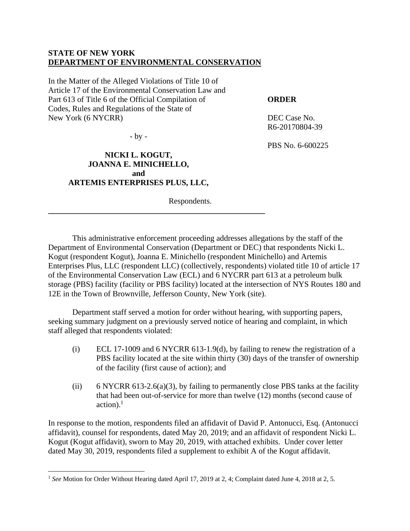# **STATE OF NEW YORK DEPARTMENT OF ENVIRONMENTAL CONSERVATION**

In the Matter of the Alleged Violations of Title 10 of Article 17 of the Environmental Conservation Law and Part 613 of Title 6 of the Official Compilation of Codes, Rules and Regulations of the State of New York (6 NYCRR)

**ORDER** 

DEC Case No. R6-20170804-39

PBS No. 6-600225

- by -

# **NICKI L. KOGUT, JOANNA E. MINICHELLO, and ARTEMIS ENTERPRISES PLUS, LLC,**

**\_\_\_\_\_\_\_\_\_\_\_\_\_\_\_\_\_\_\_\_\_\_\_\_\_\_\_\_\_\_\_\_\_\_\_\_\_\_\_\_\_\_\_\_\_\_\_\_\_\_\_\_\_\_** 

Respondents.

This administrative enforcement proceeding addresses allegations by the staff of the Department of Environmental Conservation (Department or DEC) that respondents Nicki L. Kogut (respondent Kogut), Joanna E. Minichello (respondent Minichello) and Artemis Enterprises Plus, LLC (respondent LLC) (collectively, respondents) violated title 10 of article 17 of the Environmental Conservation Law (ECL) and 6 NYCRR part 613 at a petroleum bulk storage (PBS) facility (facility or PBS facility) located at the intersection of NYS Routes 180 and 12E in the Town of Brownville, Jefferson County, New York (site).

Department staff served a motion for order without hearing, with supporting papers, seeking summary judgment on a previously served notice of hearing and complaint, in which staff alleged that respondents violated:

- (i) ECL 17-1009 and 6 NYCRR 613-1.9(d), by failing to renew the registration of a PBS facility located at the site within thirty (30) days of the transfer of ownership of the facility (first cause of action); and
- (ii) 6 NYCRR 613-2.6(a)(3), by failing to permanently close PBS tanks at the facility that had been out-of-service for more than twelve (12) months (second cause of  $\arctan$ <sup>1</sup>

In response to the motion, respondents filed an affidavit of David P. Antonucci, Esq. (Antonucci affidavit), counsel for respondents, dated May 20, 2019; and an affidavit of respondent Nicki L. Kogut (Kogut affidavit), sworn to May 20, 2019, with attached exhibits. Under cover letter dated May 30, 2019, respondents filed a supplement to exhibit A of the Kogut affidavit.

<sup>&</sup>lt;sup>1</sup> See Motion for Order Without Hearing dated April 17, 2019 at 2, 4; Complaint dated June 4, 2018 at 2, 5.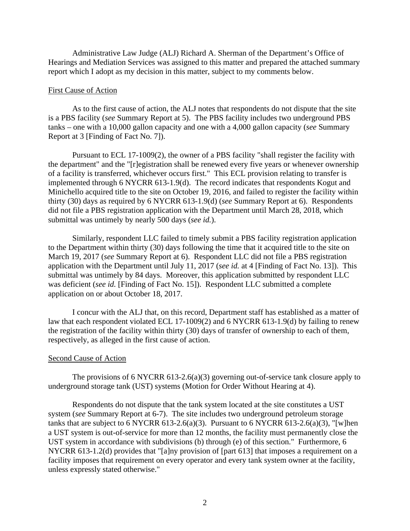Administrative Law Judge (ALJ) Richard A. Sherman of the Department's Office of Hearings and Mediation Services was assigned to this matter and prepared the attached summary report which I adopt as my decision in this matter, subject to my comments below.

#### First Cause of Action

As to the first cause of action, the ALJ notes that respondents do not dispute that the site is a PBS facility (*see* Summary Report at 5). The PBS facility includes two underground PBS tanks – one with a 10,000 gallon capacity and one with a 4,000 gallon capacity (*see* Summary Report at 3 [Finding of Fact No. 7]).

Pursuant to ECL 17-1009(2), the owner of a PBS facility "shall register the facility with the department" and the "[r]egistration shall be renewed every five years or whenever ownership of a facility is transferred, whichever occurs first." This ECL provision relating to transfer is implemented through 6 NYCRR 613-1.9(d). The record indicates that respondents Kogut and Minichello acquired title to the site on October 19, 2016, and failed to register the facility within thirty (30) days as required by 6 NYCRR 613-1.9(d) (*see* Summary Report at 6). Respondents did not file a PBS registration application with the Department until March 28, 2018, which submittal was untimely by nearly 500 days (*see id.*).

Similarly, respondent LLC failed to timely submit a PBS facility registration application to the Department within thirty (30) days following the time that it acquired title to the site on March 19, 2017 (*see* Summary Report at 6). Respondent LLC did not file a PBS registration application with the Department until July 11, 2017 (*see id.* at 4 [Finding of Fact No. 13]). This submittal was untimely by 84 days. Moreover, this application submitted by respondent LLC was deficient (*see id.* [Finding of Fact No. 15]). Respondent LLC submitted a complete application on or about October 18, 2017.

I concur with the ALJ that, on this record, Department staff has established as a matter of law that each respondent violated ECL 17-1009(2) and 6 NYCRR 613-1.9(d) by failing to renew the registration of the facility within thirty (30) days of transfer of ownership to each of them, respectively, as alleged in the first cause of action.

#### Second Cause of Action

The provisions of 6 NYCRR 613-2.6(a)(3) governing out-of-service tank closure apply to underground storage tank (UST) systems (Motion for Order Without Hearing at 4).

Respondents do not dispute that the tank system located at the site constitutes a UST system (*see* Summary Report at 6-7). The site includes two underground petroleum storage tanks that are subject to 6 NYCRR 613-2.6(a)(3). Pursuant to 6 NYCRR 613-2.6(a)(3), "[w]hen a UST system is out-of-service for more than 12 months, the facility must permanently close the UST system in accordance with subdivisions (b) through (e) of this section." Furthermore, 6 NYCRR 613-1.2(d) provides that "[a]ny provision of [part 613] that imposes a requirement on a facility imposes that requirement on every operator and every tank system owner at the facility, unless expressly stated otherwise."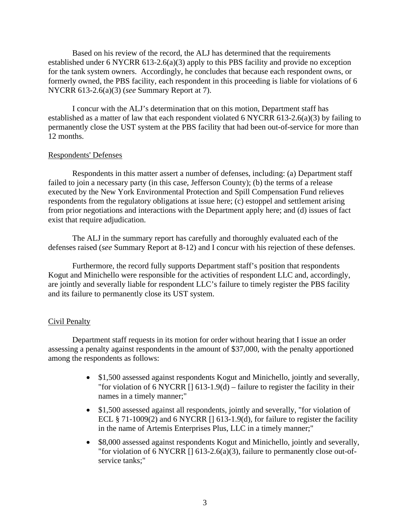Based on his review of the record, the ALJ has determined that the requirements established under 6 NYCRR 613-2.6(a)(3) apply to this PBS facility and provide no exception for the tank system owners. Accordingly, he concludes that because each respondent owns, or formerly owned, the PBS facility, each respondent in this proceeding is liable for violations of 6 NYCRR 613-2.6(a)(3) (*see* Summary Report at 7).

I concur with the ALJ's determination that on this motion, Department staff has established as a matter of law that each respondent violated 6 NYCRR 613-2.6(a)(3) by failing to permanently close the UST system at the PBS facility that had been out-of-service for more than 12 months.

# Respondents' Defenses

Respondents in this matter assert a number of defenses, including: (a) Department staff failed to join a necessary party (in this case, Jefferson County); (b) the terms of a release executed by the New York Environmental Protection and Spill Compensation Fund relieves respondents from the regulatory obligations at issue here; (c) estoppel and settlement arising from prior negotiations and interactions with the Department apply here; and (d) issues of fact exist that require adjudication.

The ALJ in the summary report has carefully and thoroughly evaluated each of the defenses raised (*see* Summary Report at 8-12) and I concur with his rejection of these defenses.

Furthermore, the record fully supports Department staff's position that respondents Kogut and Minichello were responsible for the activities of respondent LLC and, accordingly, are jointly and severally liable for respondent LLC's failure to timely register the PBS facility and its failure to permanently close its UST system.

# Civil Penalty

Department staff requests in its motion for order without hearing that I issue an order assessing a penalty against respondents in the amount of \$37,000, with the penalty apportioned among the respondents as follows:

- \$1,500 assessed against respondents Kogut and Minichello, jointly and severally, "for violation of 6 NYCRR  $[$  [ 613-1.9(d) – failure to register the facility in their names in a timely manner;"
- \$1,500 assessed against all respondents, jointly and severally, "for violation of ECL § 71-1009(2) and 6 NYCRR  $\lceil$  613-1.9(d), for failure to register the facility in the name of Artemis Enterprises Plus, LLC in a timely manner;"
- \$8,000 assessed against respondents Kogut and Minichello, jointly and severally, "for violation of 6 NYCRR  $[$  [ 613-2.6(a)(3), failure to permanently close out-ofservice tanks;"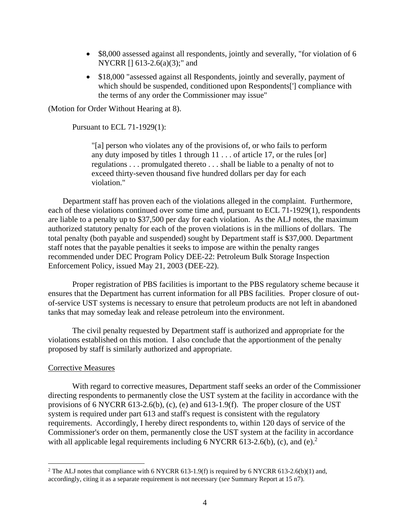- \$8,000 assessed against all respondents, jointly and severally, "for violation of 6 NYCRR [] 613-2.6(a)(3);" and
- \$18,000 "assessed against all Respondents, jointly and severally, payment of which should be suspended, conditioned upon Respondents<sup>[']</sup> compliance with the terms of any order the Commissioner may issue"

(Motion for Order Without Hearing at 8).

Pursuant to ECL 71-1929(1):

"[a] person who violates any of the provisions of, or who fails to perform any duty imposed by titles 1 through 11 . . . of article 17, or the rules [or] regulations . . . promulgated thereto . . . shall be liable to a penalty of not to exceed thirty-seven thousand five hundred dollars per day for each violation."

Department staff has proven each of the violations alleged in the complaint. Furthermore, each of these violations continued over some time and, pursuant to ECL 71-1929(1), respondents are liable to a penalty up to \$37,500 per day for each violation. As the ALJ notes, the maximum authorized statutory penalty for each of the proven violations is in the millions of dollars. The total penalty (both payable and suspended) sought by Department staff is \$37,000. Department staff notes that the payable penalties it seeks to impose are within the penalty ranges recommended under DEC Program Policy DEE-22: Petroleum Bulk Storage Inspection Enforcement Policy, issued May 21, 2003 (DEE-22).

Proper registration of PBS facilities is important to the PBS regulatory scheme because it ensures that the Department has current information for all PBS facilities. Proper closure of outof-service UST systems is necessary to ensure that petroleum products are not left in abandoned tanks that may someday leak and release petroleum into the environment.

The civil penalty requested by Department staff is authorized and appropriate for the violations established on this motion. I also conclude that the apportionment of the penalty proposed by staff is similarly authorized and appropriate.

## Corrective Measures

With regard to corrective measures, Department staff seeks an order of the Commissioner directing respondents to permanently close the UST system at the facility in accordance with the provisions of 6 NYCRR 613-2.6(b), (c), (e) and 613-1.9(f). The proper closure of the UST system is required under part 613 and staff's request is consistent with the regulatory requirements. Accordingly, I hereby direct respondents to, within 120 days of service of the Commissioner's order on them, permanently close the UST system at the facility in accordance with all applicable legal requirements including 6 NYCRR 613-2.6(b), (c), and (e).<sup>2</sup>

<sup>&</sup>lt;sup>2</sup> The ALJ notes that compliance with 6 NYCRR 613-1.9(f) is required by 6 NYCRR 613-2.6(b)(1) and, accordingly, citing it as a separate requirement is not necessary (*see* Summary Report at 15 n7).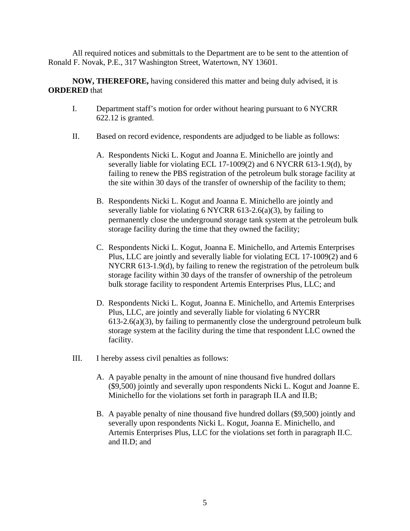All required notices and submittals to the Department are to be sent to the attention of Ronald F. Novak, P.E., 317 Washington Street, Watertown, NY 13601.

**NOW, THEREFORE,** having considered this matter and being duly advised, it is **ORDERED** that

- I. Department staff's motion for order without hearing pursuant to 6 NYCRR 622.12 is granted.
- II. Based on record evidence, respondents are adjudged to be liable as follows:
	- A. Respondents Nicki L. Kogut and Joanna E. Minichello are jointly and severally liable for violating ECL 17-1009(2) and 6 NYCRR 613-1.9(d), by failing to renew the PBS registration of the petroleum bulk storage facility at the site within 30 days of the transfer of ownership of the facility to them;
	- B. Respondents Nicki L. Kogut and Joanna E. Minichello are jointly and severally liable for violating  $6$  NYCRR  $613-2.6(a)(3)$ , by failing to permanently close the underground storage tank system at the petroleum bulk storage facility during the time that they owned the facility;
	- C. Respondents Nicki L. Kogut, Joanna E. Minichello, and Artemis Enterprises Plus, LLC are jointly and severally liable for violating ECL 17-1009(2) and 6 NYCRR 613-1.9(d), by failing to renew the registration of the petroleum bulk storage facility within 30 days of the transfer of ownership of the petroleum bulk storage facility to respondent Artemis Enterprises Plus, LLC; and
	- D. Respondents Nicki L. Kogut, Joanna E. Minichello, and Artemis Enterprises Plus, LLC, are jointly and severally liable for violating 6 NYCRR  $613-2.6(a)(3)$ , by failing to permanently close the underground petroleum bulk storage system at the facility during the time that respondent LLC owned the facility.
- III. I hereby assess civil penalties as follows:
	- A. A payable penalty in the amount of nine thousand five hundred dollars (\$9,500) jointly and severally upon respondents Nicki L. Kogut and Joanne E. Minichello for the violations set forth in paragraph II.A and II.B;
	- B. A payable penalty of nine thousand five hundred dollars (\$9,500) jointly and severally upon respondents Nicki L. Kogut, Joanna E. Minichello, and Artemis Enterprises Plus, LLC for the violations set forth in paragraph II.C. and II.D; and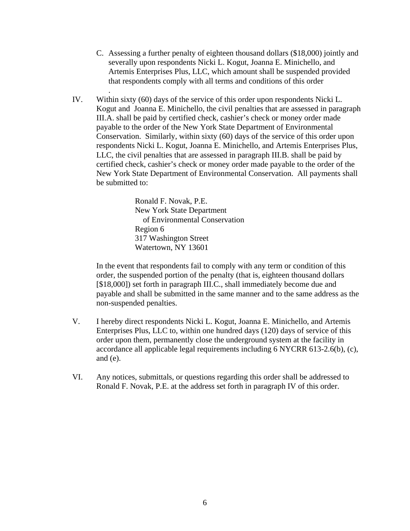- C. Assessing a further penalty of eighteen thousand dollars (\$18,000) jointly and severally upon respondents Nicki L. Kogut, Joanna E. Minichello, and Artemis Enterprises Plus, LLC, which amount shall be suspended provided that respondents comply with all terms and conditions of this order
- IV. Within sixty (60) days of the service of this order upon respondents Nicki L. Kogut and Joanna E. Minichello, the civil penalties that are assessed in paragraph III.A. shall be paid by certified check, cashier's check or money order made payable to the order of the New York State Department of Environmental Conservation. Similarly, within sixty (60) days of the service of this order upon respondents Nicki L. Kogut, Joanna E. Minichello, and Artemis Enterprises Plus, LLC, the civil penalties that are assessed in paragraph III.B. shall be paid by certified check, cashier's check or money order made payable to the order of the New York State Department of Environmental Conservation. All payments shall be submitted to:

Ronald F. Novak, P.E. New York State Department of Environmental Conservation Region 6 317 Washington Street Watertown, NY 13601

.

In the event that respondents fail to comply with any term or condition of this order, the suspended portion of the penalty (that is, eighteen thousand dollars [\$18,000]) set forth in paragraph III.C., shall immediately become due and payable and shall be submitted in the same manner and to the same address as the non-suspended penalties.

- V. I hereby direct respondents Nicki L. Kogut, Joanna E. Minichello, and Artemis Enterprises Plus, LLC to, within one hundred days (120) days of service of this order upon them, permanently close the underground system at the facility in accordance all applicable legal requirements including 6 NYCRR 613-2.6(b), (c), and (e).
- VI. Any notices, submittals, or questions regarding this order shall be addressed to Ronald F. Novak, P.E. at the address set forth in paragraph IV of this order.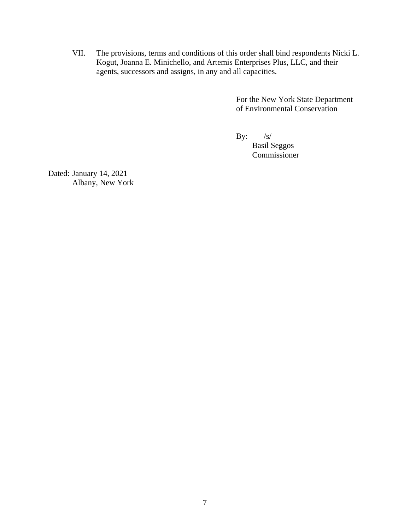VII. The provisions, terms and conditions of this order shall bind respondents Nicki L. Kogut, Joanna E. Minichello, and Artemis Enterprises Plus, LLC, and their agents, successors and assigns, in any and all capacities.

> For the New York State Department of Environmental Conservation

By:  $/s/$ 

 Basil Seggos Commissioner

Dated: January 14, 2021 Albany, New York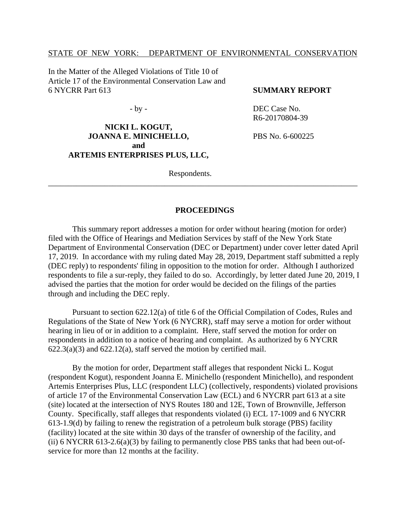## STATE OF NEW YORK: DEPARTMENT OF ENVIRONMENTAL CONSERVATION

In the Matter of the Alleged Violations of Title 10 of Article 17 of the Environmental Conservation Law and 6 NYCRR Part 613

- by -

# **NICKI L. KOGUT, JOANNA E. MINICHELLO, and ARTEMIS ENTERPRISES PLUS, LLC,**

**SUMMARY REPORT** 

DEC Case No. R6-20170804-39

PBS No. 6-600225

Respondents.

#### **PROCEEDINGS**

\_\_\_\_\_\_\_\_\_\_\_\_\_\_\_\_\_\_\_\_\_\_\_\_\_\_\_\_\_\_\_\_\_\_\_\_\_\_\_\_\_\_\_\_\_\_\_\_\_\_\_\_\_\_\_\_\_\_\_\_\_\_\_\_\_\_\_\_\_\_\_\_\_\_\_\_\_

This summary report addresses a motion for order without hearing (motion for order) filed with the Office of Hearings and Mediation Services by staff of the New York State Department of Environmental Conservation (DEC or Department) under cover letter dated April 17, 2019. In accordance with my ruling dated May 28, 2019, Department staff submitted a reply (DEC reply) to respondents' filing in opposition to the motion for order. Although I authorized respondents to file a sur-reply, they failed to do so. Accordingly, by letter dated June 20, 2019, I advised the parties that the motion for order would be decided on the filings of the parties through and including the DEC reply.

Pursuant to section 622.12(a) of title 6 of the Official Compilation of Codes, Rules and Regulations of the State of New York (6 NYCRR), staff may serve a motion for order without hearing in lieu of or in addition to a complaint. Here, staff served the motion for order on respondents in addition to a notice of hearing and complaint. As authorized by 6 NYCRR  $622.3(a)(3)$  and  $622.12(a)$ , staff served the motion by certified mail.

By the motion for order, Department staff alleges that respondent Nicki L. Kogut (respondent Kogut), respondent Joanna E. Minichello (respondent Minichello), and respondent Artemis Enterprises Plus, LLC (respondent LLC) (collectively, respondents) violated provisions of article 17 of the Environmental Conservation Law (ECL) and 6 NYCRR part 613 at a site (site) located at the intersection of NYS Routes 180 and 12E, Town of Brownville, Jefferson County. Specifically, staff alleges that respondents violated (i) ECL 17-1009 and 6 NYCRR 613-1.9(d) by failing to renew the registration of a petroleum bulk storage (PBS) facility (facility) located at the site within 30 days of the transfer of ownership of the facility, and (ii) 6 NYCRR 613-2.6(a)(3) by failing to permanently close PBS tanks that had been out-ofservice for more than 12 months at the facility.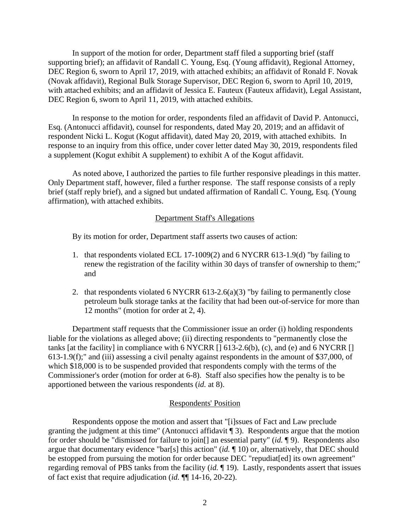In support of the motion for order, Department staff filed a supporting brief (staff supporting brief); an affidavit of Randall C. Young, Esq. (Young affidavit), Regional Attorney, DEC Region 6, sworn to April 17, 2019, with attached exhibits; an affidavit of Ronald F. Novak (Novak affidavit), Regional Bulk Storage Supervisor, DEC Region 6, sworn to April 10, 2019, with attached exhibits; and an affidavit of Jessica E. Fauteux (Fauteux affidavit), Legal Assistant, DEC Region 6, sworn to April 11, 2019, with attached exhibits.

In response to the motion for order, respondents filed an affidavit of David P. Antonucci, Esq. (Antonucci affidavit), counsel for respondents, dated May 20, 2019; and an affidavit of respondent Nicki L. Kogut (Kogut affidavit), dated May 20, 2019, with attached exhibits. In response to an inquiry from this office, under cover letter dated May 30, 2019, respondents filed a supplement (Kogut exhibit A supplement) to exhibit A of the Kogut affidavit.

As noted above, I authorized the parties to file further responsive pleadings in this matter. Only Department staff, however, filed a further response. The staff response consists of a reply brief (staff reply brief), and a signed but undated affirmation of Randall C. Young, Esq. (Young affirmation), with attached exhibits.

#### Department Staff's Allegations

By its motion for order, Department staff asserts two causes of action:

- 1. that respondents violated ECL 17-1009(2) and 6 NYCRR 613-1.9(d) "by failing to renew the registration of the facility within 30 days of transfer of ownership to them;" and
- 2. that respondents violated 6 NYCRR 613-2.6(a)(3) "by failing to permanently close petroleum bulk storage tanks at the facility that had been out-of-service for more than 12 months" (motion for order at 2, 4).

Department staff requests that the Commissioner issue an order (i) holding respondents liable for the violations as alleged above; (ii) directing respondents to "permanently close the tanks [at the facility] in compliance with 6 NYCRR  $\left[ \right]$  613-2.6(b), (c), and (e) and 6 NYCRR  $\left[ \right]$ 613-1.9(f);" and (iii) assessing a civil penalty against respondents in the amount of \$37,000, of which \$18,000 is to be suspended provided that respondents comply with the terms of the Commissioner's order (motion for order at 6-8). Staff also specifies how the penalty is to be apportioned between the various respondents (*id.* at 8).

## Respondents' Position

Respondents oppose the motion and assert that "[i]ssues of Fact and Law preclude granting the judgment at this time" (Antonucci affidavit ¶ 3). Respondents argue that the motion for order should be "dismissed for failure to join[] an essential party" (*id.* ¶ 9). Respondents also argue that documentary evidence "bar[s] this action" (*id.* ¶ 10) or, alternatively, that DEC should be estopped from pursuing the motion for order because DEC "repudiat[ed] its own agreement" regarding removal of PBS tanks from the facility (*id.* ¶ 19). Lastly, respondents assert that issues of fact exist that require adjudication (*id.* ¶¶ 14-16, 20-22).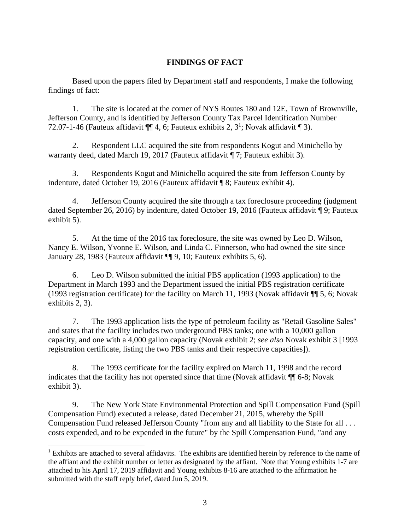# **FINDINGS OF FACT**

Based upon the papers filed by Department staff and respondents, I make the following findings of fact:

1. The site is located at the corner of NYS Routes 180 and 12E, Town of Brownville, Jefferson County, and is identified by Jefferson County Tax Parcel Identification Number 72.07-1-46 (Fauteux affidavit  $\P\P$  4, 6; Fauteux exhibits 2, 3<sup>1</sup>; Novak affidavit  $\P$  3).

2. Respondent LLC acquired the site from respondents Kogut and Minichello by warranty deed, dated March 19, 2017 (Fauteux affidavit ¶ 7; Fauteux exhibit 3).

3. Respondents Kogut and Minichello acquired the site from Jefferson County by indenture, dated October 19, 2016 (Fauteux affidavit ¶ 8; Fauteux exhibit 4).

4. Jefferson County acquired the site through a tax foreclosure proceeding (judgment dated September 26, 2016) by indenture, dated October 19, 2016 (Fauteux affidavit ¶ 9; Fauteux exhibit 5).

5. At the time of the 2016 tax foreclosure, the site was owned by Leo D. Wilson, Nancy E. Wilson, Yvonne E. Wilson, and Linda C. Finnerson, who had owned the site since January 28, 1983 (Fauteux affidavit ¶¶ 9, 10; Fauteux exhibits 5, 6).

6. Leo D. Wilson submitted the initial PBS application (1993 application) to the Department in March 1993 and the Department issued the initial PBS registration certificate (1993 registration certificate) for the facility on March 11, 1993 (Novak affidavit ¶¶ 5, 6; Novak exhibits 2, 3).

7. The 1993 application lists the type of petroleum facility as "Retail Gasoline Sales" and states that the facility includes two underground PBS tanks; one with a 10,000 gallon capacity, and one with a 4,000 gallon capacity (Novak exhibit 2; *see also* Novak exhibit 3 [1993 registration certificate, listing the two PBS tanks and their respective capacities]).

8. The 1993 certificate for the facility expired on March 11, 1998 and the record indicates that the facility has not operated since that time (Novak affidavit ¶¶ 6-8; Novak exhibit 3).

9. The New York State Environmental Protection and Spill Compensation Fund (Spill Compensation Fund) executed a release, dated December 21, 2015, whereby the Spill Compensation Fund released Jefferson County "from any and all liability to the State for all . . . costs expended, and to be expended in the future" by the Spill Compensation Fund, "and any

<sup>&</sup>lt;sup>1</sup> Exhibits are attached to several affidavits. The exhibits are identified herein by reference to the name of the affiant and the exhibit number or letter as designated by the affiant. Note that Young exhibits 1-7 are attached to his April 17, 2019 affidavit and Young exhibits 8-16 are attached to the affirmation he submitted with the staff reply brief, dated Jun 5, 2019.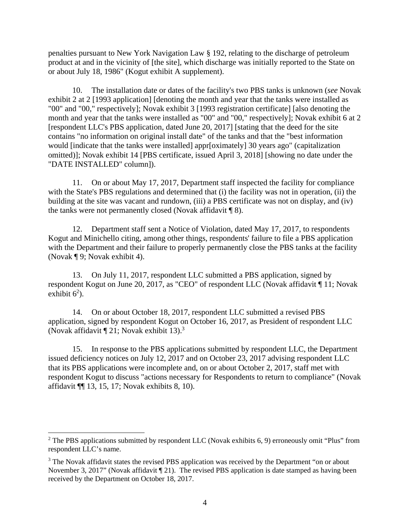penalties pursuant to New York Navigation Law § 192, relating to the discharge of petroleum product at and in the vicinity of [the site], which discharge was initially reported to the State on or about July 18, 1986" (Kogut exhibit A supplement).

10. The installation date or dates of the facility's two PBS tanks is unknown (*see* Novak exhibit 2 at 2 [1993 application] [denoting the month and year that the tanks were installed as "00" and "00," respectively]; Novak exhibit 3 [1993 registration certificate] [also denoting the month and year that the tanks were installed as "00" and "00," respectively]; Novak exhibit 6 at 2 [respondent LLC's PBS application, dated June 20, 2017] [stating that the deed for the site contains "no information on original install date" of the tanks and that the "best information would [indicate that the tanks were installed] appr[oximately] 30 years ago" (capitalization omitted)]; Novak exhibit 14 [PBS certificate, issued April 3, 2018] [showing no date under the "DATE INSTALLED" column]).

11. On or about May 17, 2017, Department staff inspected the facility for compliance with the State's PBS regulations and determined that (i) the facility was not in operation, (ii) the building at the site was vacant and rundown, (iii) a PBS certificate was not on display, and (iv) the tanks were not permanently closed (Novak affidavit ¶ 8).

12. Department staff sent a Notice of Violation, dated May 17, 2017, to respondents Kogut and Minichello citing, among other things, respondents' failure to file a PBS application with the Department and their failure to properly permanently close the PBS tanks at the facility (Novak ¶ 9; Novak exhibit 4).

13. On July 11, 2017, respondent LLC submitted a PBS application, signed by respondent Kogut on June 20, 2017, as "CEO" of respondent LLC (Novak affidavit ¶ 11; Novak exhibit  $6^2$ ).

14. On or about October 18, 2017, respondent LLC submitted a revised PBS application, signed by respondent Kogut on October 16, 2017, as President of respondent LLC (Novak affidavit  $\P$  21; Novak exhibit 13).<sup>3</sup>

15. In response to the PBS applications submitted by respondent LLC, the Department issued deficiency notices on July 12, 2017 and on October 23, 2017 advising respondent LLC that its PBS applications were incomplete and, on or about October 2, 2017, staff met with respondent Kogut to discuss "actions necessary for Respondents to return to compliance" (Novak affidavit ¶¶ 13, 15, 17; Novak exhibits 8, 10).

<sup>&</sup>lt;sup>2</sup> The PBS applications submitted by respondent LLC (Novak exhibits 6, 9) erroneously omit "Plus" from respondent LLC's name.

 $3$  The Novak affidavit states the revised PBS application was received by the Department "on or about November 3, 2017" (Novak affidavit [21). The revised PBS application is date stamped as having been received by the Department on October 18, 2017.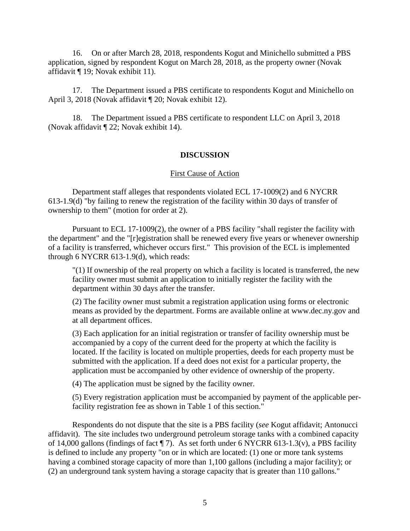16. On or after March 28, 2018, respondents Kogut and Minichello submitted a PBS application, signed by respondent Kogut on March 28, 2018, as the property owner (Novak affidavit ¶ 19; Novak exhibit 11).

17. The Department issued a PBS certificate to respondents Kogut and Minichello on April 3, 2018 (Novak affidavit ¶ 20; Novak exhibit 12).

18. The Department issued a PBS certificate to respondent LLC on April 3, 2018 (Novak affidavit ¶ 22; Novak exhibit 14).

## **DISCUSSION**

## First Cause of Action

Department staff alleges that respondents violated ECL 17-1009(2) and 6 NYCRR 613-1.9(d) "by failing to renew the registration of the facility within 30 days of transfer of ownership to them" (motion for order at 2).

Pursuant to ECL 17-1009(2), the owner of a PBS facility "shall register the facility with the department" and the "[r]egistration shall be renewed every five years or whenever ownership of a facility is transferred, whichever occurs first." This provision of the ECL is implemented through 6 NYCRR 613-1.9(d), which reads:

"(1) If ownership of the real property on which a facility is located is transferred, the new facility owner must submit an application to initially register the facility with the department within 30 days after the transfer.

(2) The facility owner must submit a registration application using forms or electronic means as provided by the department. Forms are available online at www.dec.ny.gov and at all department offices.

(3) Each application for an initial registration or transfer of facility ownership must be accompanied by a copy of the current deed for the property at which the facility is located. If the facility is located on multiple properties, deeds for each property must be submitted with the application. If a deed does not exist for a particular property, the application must be accompanied by other evidence of ownership of the property.

(4) The application must be signed by the facility owner.

(5) Every registration application must be accompanied by payment of the applicable perfacility registration fee as shown in Table 1 of this section."

Respondents do not dispute that the site is a PBS facility (*see* Kogut affidavit; Antonucci affidavit). The site includes two underground petroleum storage tanks with a combined capacity of 14,000 gallons (findings of fact  $\P$  7). As set forth under 6 NYCRR 613-1.3(v), a PBS facility is defined to include any property "on or in which are located: (1) one or more tank systems having a combined storage capacity of more than 1,100 gallons (including a major facility); or (2) an underground tank system having a storage capacity that is greater than 110 gallons."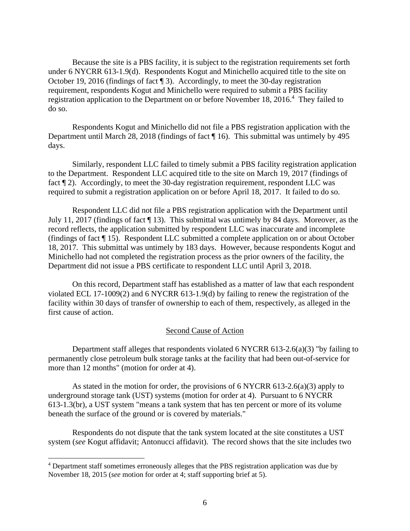Because the site is a PBS facility, it is subject to the registration requirements set forth under 6 NYCRR 613-1.9(d). Respondents Kogut and Minichello acquired title to the site on October 19, 2016 (findings of fact ¶ 3). Accordingly, to meet the 30-day registration requirement, respondents Kogut and Minichello were required to submit a PBS facility registration application to the Department on or before November 18, 2016.<sup>4</sup> They failed to do so.

Respondents Kogut and Minichello did not file a PBS registration application with the Department until March 28, 2018 (findings of fact ¶ 16). This submittal was untimely by 495 days.

Similarly, respondent LLC failed to timely submit a PBS facility registration application to the Department. Respondent LLC acquired title to the site on March 19, 2017 (findings of fact  $\P$  2). Accordingly, to meet the 30-day registration requirement, respondent LLC was required to submit a registration application on or before April 18, 2017. It failed to do so.

Respondent LLC did not file a PBS registration application with the Department until July 11, 2017 (findings of fact ¶ 13). This submittal was untimely by 84 days. Moreover, as the record reflects, the application submitted by respondent LLC was inaccurate and incomplete (findings of fact ¶ 15). Respondent LLC submitted a complete application on or about October 18, 2017. This submittal was untimely by 183 days. However, because respondents Kogut and Minichello had not completed the registration process as the prior owners of the facility, the Department did not issue a PBS certificate to respondent LLC until April 3, 2018.

On this record, Department staff has established as a matter of law that each respondent violated ECL 17-1009(2) and 6 NYCRR 613-1.9(d) by failing to renew the registration of the facility within 30 days of transfer of ownership to each of them, respectively, as alleged in the first cause of action.

#### Second Cause of Action

Department staff alleges that respondents violated 6 NYCRR 613-2.6(a)(3) "by failing to permanently close petroleum bulk storage tanks at the facility that had been out-of-service for more than 12 months" (motion for order at 4).

As stated in the motion for order, the provisions of  $6$  NYCRR  $613-2.6(a)(3)$  apply to underground storage tank (UST) systems (motion for order at 4). Pursuant to 6 NYCRR 613-1.3(br), a UST system "means a tank system that has ten percent or more of its volume beneath the surface of the ground or is covered by materials."

Respondents do not dispute that the tank system located at the site constitutes a UST system (*see* Kogut affidavit; Antonucci affidavit). The record shows that the site includes two

<sup>&</sup>lt;sup>4</sup> Department staff sometimes erroneously alleges that the PBS registration application was due by November 18, 2015 (*see* motion for order at 4; staff supporting brief at 5).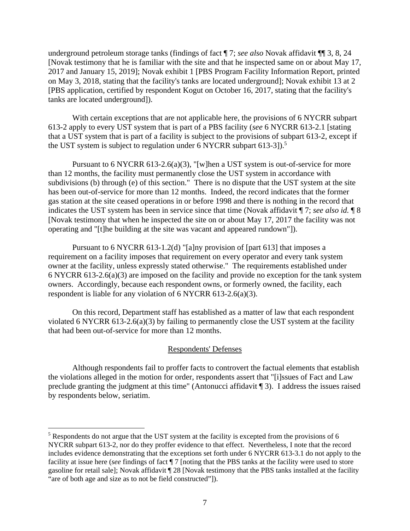underground petroleum storage tanks (findings of fact ¶ 7; *see also* Novak affidavit ¶¶ 3, 8, 24 [Novak testimony that he is familiar with the site and that he inspected same on or about May 17, 2017 and January 15, 2019]; Novak exhibit 1 [PBS Program Facility Information Report, printed on May 3, 2018, stating that the facility's tanks are located underground]; Novak exhibit 13 at 2 [PBS application, certified by respondent Kogut on October 16, 2017, stating that the facility's tanks are located underground]).

With certain exceptions that are not applicable here, the provisions of 6 NYCRR subpart 613-2 apply to every UST system that is part of a PBS facility (*see* 6 NYCRR 613-2.1 [stating that a UST system that is part of a facility is subject to the provisions of subpart 613-2, except if the UST system is subject to regulation under 6 NYCRR subpart 613-3]).<sup>5</sup>

Pursuant to 6 NYCRR 613-2.6(a)(3), "[w]hen a UST system is out-of-service for more than 12 months, the facility must permanently close the UST system in accordance with subdivisions (b) through (e) of this section." There is no dispute that the UST system at the site has been out-of-service for more than 12 months. Indeed, the record indicates that the former gas station at the site ceased operations in or before 1998 and there is nothing in the record that indicates the UST system has been in service since that time (Novak affidavit ¶ 7; *see also id.* ¶ 8 [Novak testimony that when he inspected the site on or about May 17, 2017 the facility was not operating and "[t]he building at the site was vacant and appeared rundown"]).

Pursuant to 6 NYCRR 613-1.2(d) "[a]ny provision of [part 613] that imposes a requirement on a facility imposes that requirement on every operator and every tank system owner at the facility, unless expressly stated otherwise." The requirements established under 6 NYCRR 613-2.6(a)(3) are imposed on the facility and provide no exception for the tank system owners. Accordingly, because each respondent owns, or formerly owned, the facility, each respondent is liable for any violation of 6 NYCRR 613-2.6(a)(3).

On this record, Department staff has established as a matter of law that each respondent violated 6 NYCRR 613-2.6(a)(3) by failing to permanently close the UST system at the facility that had been out-of-service for more than 12 months.

## Respondents' Defenses

Although respondents fail to proffer facts to controvert the factual elements that establish the violations alleged in the motion for order, respondents assert that "[i]ssues of Fact and Law preclude granting the judgment at this time" (Antonucci affidavit ¶ 3). I address the issues raised by respondents below, seriatim.

 $<sup>5</sup>$  Respondents do not argue that the UST system at the facility is excepted from the provisions of 6</sup> NYCRR subpart 613-2, nor do they proffer evidence to that effect. Nevertheless, I note that the record includes evidence demonstrating that the exceptions set forth under 6 NYCRR 613-3.1 do not apply to the facility at issue here (*see* findings of fact ¶ 7 [noting that the PBS tanks at the facility were used to store gasoline for retail sale]; Novak affidavit ¶ 28 [Novak testimony that the PBS tanks installed at the facility "are of both age and size as to not be field constructed"]).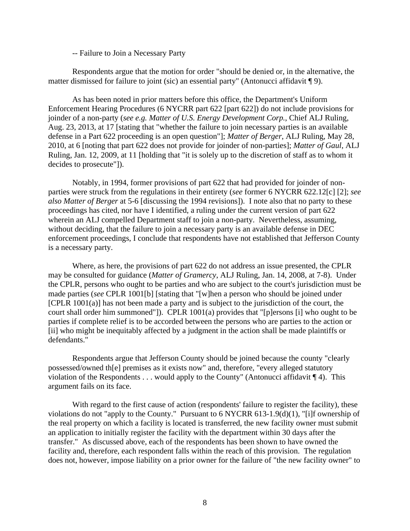-- Failure to Join a Necessary Party

Respondents argue that the motion for order "should be denied or, in the alternative, the matter dismissed for failure to joint (sic) an essential party" (Antonucci affidavit ¶ 9).

As has been noted in prior matters before this office, the Department's Uniform Enforcement Hearing Procedures (6 NYCRR part 622 [part 622]) do not include provisions for joinder of a non-party (*see e.g. Matter of U.S. Energy Development Corp.*, Chief ALJ Ruling, Aug. 23, 2013, at 17 [stating that "whether the failure to join necessary parties is an available defense in a Part 622 proceeding is an open question"]; *Matter of Berger*, ALJ Ruling, May 28, 2010, at 6 [noting that part 622 does not provide for joinder of non-parties]; *Matter of Gaul*, ALJ Ruling, Jan. 12, 2009, at 11 [holding that "it is solely up to the discretion of staff as to whom it decides to prosecute"]).

Notably, in 1994, former provisions of part 622 that had provided for joinder of nonparties were struck from the regulations in their entirety (*see* former 6 NYCRR 622.12[c] [2]; *see also Matter of Berger* at 5-6 [discussing the 1994 revisions]). I note also that no party to these proceedings has cited, nor have I identified, a ruling under the current version of part 622 wherein an ALJ compelled Department staff to join a non-party. Nevertheless, assuming, without deciding, that the failure to join a necessary party is an available defense in DEC enforcement proceedings, I conclude that respondents have not established that Jefferson County is a necessary party.

Where, as here, the provisions of part 622 do not address an issue presented, the CPLR may be consulted for guidance (*Matter of Gramercy*, ALJ Ruling, Jan. 14, 2008, at 7-8). Under the CPLR, persons who ought to be parties and who are subject to the court's jurisdiction must be made parties (*see* CPLR 1001[b] [stating that "[w]hen a person who should be joined under [CPLR 1001(a)] has not been made a party and is subject to the jurisdiction of the court, the court shall order him summoned"]). CPLR 1001(a) provides that "[p]ersons [i] who ought to be parties if complete relief is to be accorded between the persons who are parties to the action or [ii] who might be inequitably affected by a judgment in the action shall be made plaintiffs or defendants."

Respondents argue that Jefferson County should be joined because the county "clearly possessed/owned th[e] premises as it exists now" and, therefore, "every alleged statutory violation of the Respondents . . . would apply to the County" (Antonucci affidavit ¶ 4). This argument fails on its face.

With regard to the first cause of action (respondents' failure to register the facility), these violations do not "apply to the County." Pursuant to 6 NYCRR 613-1.9(d)(1), "[i]f ownership of the real property on which a facility is located is transferred, the new facility owner must submit an application to initially register the facility with the department within 30 days after the transfer." As discussed above, each of the respondents has been shown to have owned the facility and, therefore, each respondent falls within the reach of this provision. The regulation does not, however, impose liability on a prior owner for the failure of "the new facility owner" to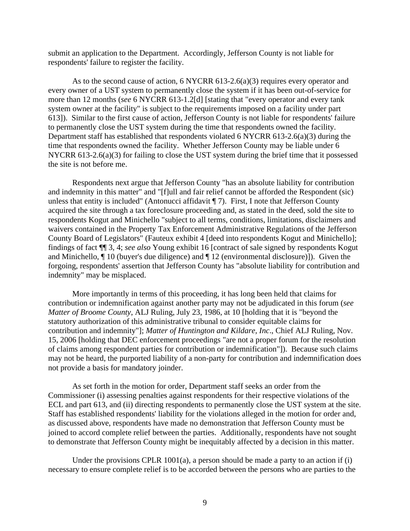submit an application to the Department. Accordingly, Jefferson County is not liable for respondents' failure to register the facility.

As to the second cause of action, 6 NYCRR 613-2.6(a)(3) requires every operator and every owner of a UST system to permanently close the system if it has been out-of-service for more than 12 months (*see* 6 NYCRR 613-1.2[d] [stating that "every operator and every tank system owner at the facility" is subject to the requirements imposed on a facility under part 613]). Similar to the first cause of action, Jefferson County is not liable for respondents' failure to permanently close the UST system during the time that respondents owned the facility. Department staff has established that respondents violated 6 NYCRR 613-2.6(a)(3) during the time that respondents owned the facility. Whether Jefferson County may be liable under 6 NYCRR 613-2.6(a)(3) for failing to close the UST system during the brief time that it possessed the site is not before me.

Respondents next argue that Jefferson County "has an absolute liability for contribution and indemnity in this matter" and "[f]ull and fair relief cannot be afforded the Respondent (sic) unless that entity is included" (Antonucci affidavit ¶ 7). First, I note that Jefferson County acquired the site through a tax foreclosure proceeding and, as stated in the deed, sold the site to respondents Kogut and Minichello "subject to all terms, conditions, limitations, disclaimers and waivers contained in the Property Tax Enforcement Administrative Regulations of the Jefferson County Board of Legislators" (Fauteux exhibit 4 [deed into respondents Kogut and Minichello]; findings of fact ¶¶ 3, 4; *see also* Young exhibit 16 [contract of sale signed by respondents Kogut and Minichello, ¶ 10 (buyer's due diligence) and ¶ 12 (environmental disclosure)]). Given the forgoing, respondents' assertion that Jefferson County has "absolute liability for contribution and indemnity" may be misplaced.

More importantly in terms of this proceeding, it has long been held that claims for contribution or indemnification against another party may not be adjudicated in this forum (*see Matter of Broome County*, ALJ Ruling, July 23, 1986, at 10 [holding that it is "beyond the statutory authorization of this administrative tribunal to consider equitable claims for contribution and indemnity"]; *Matter of Huntington and Kildare, Inc*., Chief ALJ Ruling, Nov. 15, 2006 [holding that DEC enforcement proceedings "are not a proper forum for the resolution of claims among respondent parties for contribution or indemnification"]). Because such claims may not be heard, the purported liability of a non-party for contribution and indemnification does not provide a basis for mandatory joinder.

As set forth in the motion for order, Department staff seeks an order from the Commissioner (i) assessing penalties against respondents for their respective violations of the ECL and part 613, and (ii) directing respondents to permanently close the UST system at the site. Staff has established respondents' liability for the violations alleged in the motion for order and, as discussed above, respondents have made no demonstration that Jefferson County must be joined to accord complete relief between the parties. Additionally, respondents have not sought to demonstrate that Jefferson County might be inequitably affected by a decision in this matter.

Under the provisions CPLR 1001(a), a person should be made a party to an action if  $(i)$ necessary to ensure complete relief is to be accorded between the persons who are parties to the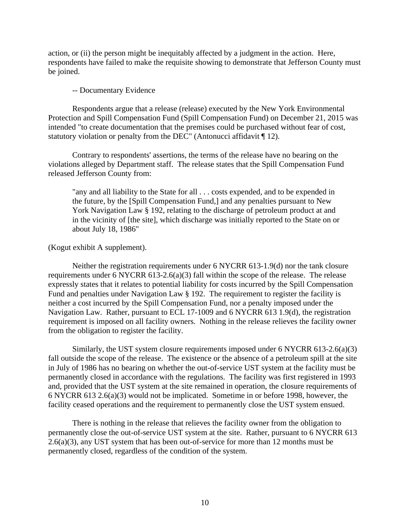action, or (ii) the person might be inequitably affected by a judgment in the action. Here, respondents have failed to make the requisite showing to demonstrate that Jefferson County must be joined.

## -- Documentary Evidence

Respondents argue that a release (release) executed by the New York Environmental Protection and Spill Compensation Fund (Spill Compensation Fund) on December 21, 2015 was intended "to create documentation that the premises could be purchased without fear of cost, statutory violation or penalty from the DEC" (Antonucci affidavit ¶ 12).

Contrary to respondents' assertions, the terms of the release have no bearing on the violations alleged by Department staff. The release states that the Spill Compensation Fund released Jefferson County from:

"any and all liability to the State for all . . . costs expended, and to be expended in the future, by the [Spill Compensation Fund,] and any penalties pursuant to New York Navigation Law § 192, relating to the discharge of petroleum product at and in the vicinity of [the site], which discharge was initially reported to the State on or about July 18, 1986"

(Kogut exhibit A supplement).

Neither the registration requirements under 6 NYCRR 613-1.9(d) nor the tank closure requirements under 6 NYCRR 613-2.6(a)(3) fall within the scope of the release. The release expressly states that it relates to potential liability for costs incurred by the Spill Compensation Fund and penalties under Navigation Law § 192. The requirement to register the facility is neither a cost incurred by the Spill Compensation Fund, nor a penalty imposed under the Navigation Law. Rather, pursuant to ECL 17-1009 and 6 NYCRR 613 1.9(d), the registration requirement is imposed on all facility owners. Nothing in the release relieves the facility owner from the obligation to register the facility.

Similarly, the UST system closure requirements imposed under 6 NYCRR 613-2.6(a)(3) fall outside the scope of the release. The existence or the absence of a petroleum spill at the site in July of 1986 has no bearing on whether the out-of-service UST system at the facility must be permanently closed in accordance with the regulations. The facility was first registered in 1993 and, provided that the UST system at the site remained in operation, the closure requirements of 6 NYCRR 613 2.6(a)(3) would not be implicated. Sometime in or before 1998, however, the facility ceased operations and the requirement to permanently close the UST system ensued.

There is nothing in the release that relieves the facility owner from the obligation to permanently close the out-of-service UST system at the site. Rather, pursuant to 6 NYCRR 613 2.6(a)(3), any UST system that has been out-of-service for more than 12 months must be permanently closed, regardless of the condition of the system.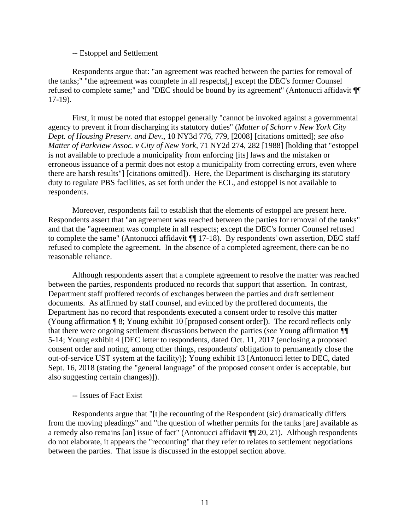## -- Estoppel and Settlement

Respondents argue that: "an agreement was reached between the parties for removal of the tanks;" "the agreement was complete in all respects[,] except the DEC's former Counsel refused to complete same;" and "DEC should be bound by its agreement" (Antonucci affidavit ¶¶ 17-19).

First, it must be noted that estoppel generally "cannot be invoked against a governmental agency to prevent it from discharging its statutory duties" (*Matter of Schorr v New York City Dept. of Housing Preserv. and Dev.*, 10 NY3d 776, 779, [2008] [citations omitted]; *see also Matter of Parkview Assoc. v City of New York*, 71 NY2d 274, 282 [1988] [holding that "estoppel is not available to preclude a municipality from enforcing [its] laws and the mistaken or erroneous issuance of a permit does not estop a municipality from correcting errors, even where there are harsh results"] [citations omitted]). Here, the Department is discharging its statutory duty to regulate PBS facilities, as set forth under the ECL, and estoppel is not available to respondents.

Moreover, respondents fail to establish that the elements of estoppel are present here. Respondents assert that "an agreement was reached between the parties for removal of the tanks" and that the "agreement was complete in all respects; except the DEC's former Counsel refused to complete the same" (Antonucci affidavit ¶¶ 17-18). By respondents' own assertion, DEC staff refused to complete the agreement. In the absence of a completed agreement, there can be no reasonable reliance.

Although respondents assert that a complete agreement to resolve the matter was reached between the parties, respondents produced no records that support that assertion. In contrast, Department staff proffered records of exchanges between the parties and draft settlement documents. As affirmed by staff counsel, and evinced by the proffered documents, the Department has no record that respondents executed a consent order to resolve this matter (Young affirmation ¶ 8; Young exhibit 10 [proposed consent order]). The record reflects only that there were ongoing settlement discussions between the parties (*see* Young affirmation ¶¶ 5-14; Young exhibit 4 [DEC letter to respondents, dated Oct. 11, 2017 (enclosing a proposed consent order and noting, among other things, respondents' obligation to permanently close the out-of-service UST system at the facility)]; Young exhibit 13 [Antonucci letter to DEC, dated Sept. 16, 2018 (stating the "general language" of the proposed consent order is acceptable, but also suggesting certain changes)]).

## -- Issues of Fact Exist

Respondents argue that "[t]he recounting of the Respondent (sic) dramatically differs from the moving pleadings" and "the question of whether permits for the tanks [are] available as a remedy also remains [an] issue of fact" (Antonucci affidavit ¶¶ 20, 21). Although respondents do not elaborate, it appears the "recounting" that they refer to relates to settlement negotiations between the parties. That issue is discussed in the estoppel section above.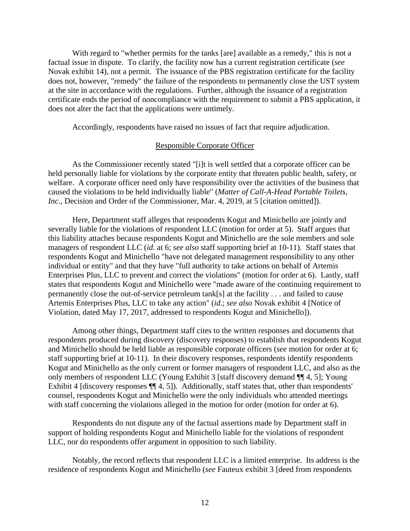With regard to "whether permits for the tanks [are] available as a remedy," this is not a factual issue in dispute. To clarify, the facility now has a current registration certificate (*see* Novak exhibit 14), not a permit. The issuance of the PBS registration certificate for the facility does not, however, "remedy" the failure of the respondents to permanently close the UST system at the site in accordance with the regulations. Further, although the issuance of a registration certificate ends the period of noncompliance with the requirement to submit a PBS application, it does not alter the fact that the applications were untimely.

Accordingly, respondents have raised no issues of fact that require adjudication.

#### Responsible Corporate Officer

As the Commissioner recently stated "[i]t is well settled that a corporate officer can be held personally liable for violations by the corporate entity that threaten public health, safety, or welfare. A corporate officer need only have responsibility over the activities of the business that caused the violations to be held individually liable" (*Matter of Call-A-Head Portable Toilets, Inc.*, Decision and Order of the Commissioner, Mar. 4, 2019, at 5 [citation omitted]).

Here, Department staff alleges that respondents Kogut and Minichello are jointly and severally liable for the violations of respondent LLC (motion for order at 5). Staff argues that this liability attaches because respondents Kogut and Minichello are the sole members and sole managers of respondent LLC (*id.* at 6; *see also* staff supporting brief at 10-11). Staff states that respondents Kogut and Minichello "have not delegated management responsibility to any other individual or entity" and that they have "full authority to take actions on behalf of Artemis Enterprises Plus, LLC to prevent and correct the violations" (motion for order at 6). Lastly, staff states that respondents Kogut and Minichello were "made aware of the continuing requirement to permanently close the out-of-service petroleum tank[s] at the facility . . . and failed to cause Artemis Enterprises Plus, LLC to take any action" (*id.*; *see also* Novak exhibit 4 [Notice of Violation, dated May 17, 2017, addressed to respondents Kogut and Minichello]).

Among other things, Department staff cites to the written responses and documents that respondents produced during discovery (discovery responses) to establish that respondents Kogut and Minichello should be held liable as responsible corporate officers (*see* motion for order at 6; staff supporting brief at 10-11). In their discovery responses, respondents identify respondents Kogut and Minichello as the only current or former managers of respondent LLC, and also as the only members of respondent LLC (Young Exhibit 3 [staff discovery demand ¶¶ 4, 5]; Young Exhibit 4 [discovery responses  $\P$ [4, 5]). Additionally, staff states that, other than respondents' counsel, respondents Kogut and Minichello were the only individuals who attended meetings with staff concerning the violations alleged in the motion for order (motion for order at 6).

Respondents do not dispute any of the factual assertions made by Department staff in support of holding respondents Kogut and Minichello liable for the violations of respondent LLC, nor do respondents offer argument in opposition to such liability.

Notably, the record reflects that respondent LLC is a limited enterprise. Its address is the residence of respondents Kogut and Minichello (*see* Fauteux exhibit 3 [deed from respondents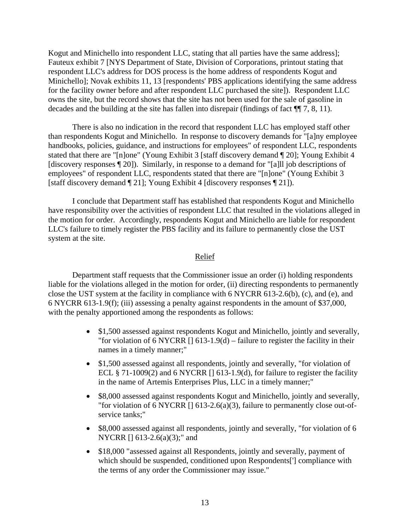Kogut and Minichello into respondent LLC, stating that all parties have the same address]; Fauteux exhibit 7 [NYS Department of State, Division of Corporations, printout stating that respondent LLC's address for DOS process is the home address of respondents Kogut and Minichello]; Novak exhibits 11, 13 [respondents' PBS applications identifying the same address for the facility owner before and after respondent LLC purchased the site]). Respondent LLC owns the site, but the record shows that the site has not been used for the sale of gasoline in decades and the building at the site has fallen into disrepair (findings of fact ¶¶ 7, 8, 11).

There is also no indication in the record that respondent LLC has employed staff other than respondents Kogut and Minichello. In response to discovery demands for "[a]ny employee handbooks, policies, guidance, and instructions for employees" of respondent LLC, respondents stated that there are "[n]one" (Young Exhibit 3 [staff discovery demand ¶ 20]; Young Exhibit 4 [discovery responses ¶ 20]). Similarly, in response to a demand for "[a]ll job descriptions of employees" of respondent LLC, respondents stated that there are "[n]one" (Young Exhibit 3 [staff discovery demand ¶ 21]; Young Exhibit 4 [discovery responses ¶ 21]).

I conclude that Department staff has established that respondents Kogut and Minichello have responsibility over the activities of respondent LLC that resulted in the violations alleged in the motion for order. Accordingly, respondents Kogut and Minichello are liable for respondent LLC's failure to timely register the PBS facility and its failure to permanently close the UST system at the site.

## Relief

Department staff requests that the Commissioner issue an order (i) holding respondents liable for the violations alleged in the motion for order, (ii) directing respondents to permanently close the UST system at the facility in compliance with 6 NYCRR 613-2.6(b), (c), and (e), and 6 NYCRR 613-1.9(f); (iii) assessing a penalty against respondents in the amount of \$37,000, with the penalty apportioned among the respondents as follows:

- \$1,500 assessed against respondents Kogut and Minichello, jointly and severally, "for violation of 6 NYCRR  $[$  [ 613-1.9(d) – failure to register the facility in their names in a timely manner;"
- \$1,500 assessed against all respondents, jointly and severally, "for violation of ECL § 71-1009(2) and 6 NYCRR  $[$  [ 613-1.9(d), for failure to register the facility in the name of Artemis Enterprises Plus, LLC in a timely manner;"
- \$8,000 assessed against respondents Kogut and Minichello, jointly and severally, "for violation of 6 NYCRR  $[$  [] 613-2.6(a)(3), failure to permanently close out-ofservice tanks;"
- \$8,000 assessed against all respondents, jointly and severally, "for violation of 6 NYCRR [] 613-2.6(a)(3);" and
- \$18,000 "assessed against all Respondents, jointly and severally, payment of which should be suspended, conditioned upon Respondents['] compliance with the terms of any order the Commissioner may issue."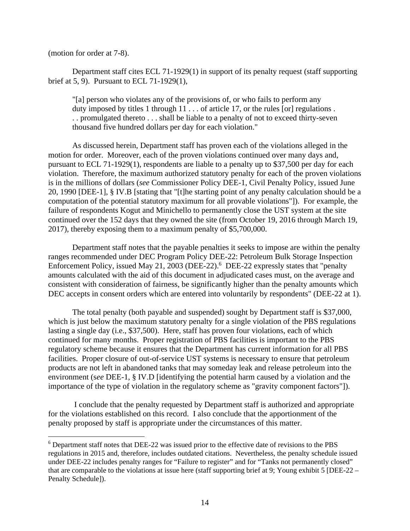(motion for order at 7-8).

Department staff cites ECL 71-1929(1) in support of its penalty request (staff supporting brief at 5, 9). Pursuant to ECL 71-1929(1),

"[a] person who violates any of the provisions of, or who fails to perform any duty imposed by titles 1 through  $11 \ldots$  of article 17, or the rules [or] regulations. . . promulgated thereto . . . shall be liable to a penalty of not to exceed thirty-seven thousand five hundred dollars per day for each violation."

As discussed herein, Department staff has proven each of the violations alleged in the motion for order. Moreover, each of the proven violations continued over many days and, pursuant to ECL 71-1929(1), respondents are liable to a penalty up to \$37,500 per day for each violation. Therefore, the maximum authorized statutory penalty for each of the proven violations is in the millions of dollars (*see* Commissioner Policy DEE-1, Civil Penalty Policy, issued June 20, 1990 [DEE-1], § IV.B [stating that "[t]he starting point of any penalty calculation should be a computation of the potential statutory maximum for all provable violations"]). For example, the failure of respondents Kogut and Minichello to permanently close the UST system at the site continued over the 152 days that they owned the site (from October 19, 2016 through March 19, 2017), thereby exposing them to a maximum penalty of \$5,700,000.

Department staff notes that the payable penalties it seeks to impose are within the penalty ranges recommended under DEC Program Policy DEE-22: Petroleum Bulk Storage Inspection Enforcement Policy, issued May 21, 2003 (DEE-22).<sup>6</sup> DEE-22 expressly states that "penalty amounts calculated with the aid of this document in adjudicated cases must, on the average and consistent with consideration of fairness, be significantly higher than the penalty amounts which DEC accepts in consent orders which are entered into voluntarily by respondents" (DEE-22 at 1).

The total penalty (both payable and suspended) sought by Department staff is \$37,000, which is just below the maximum statutory penalty for a single violation of the PBS regulations lasting a single day (i.e., \$37,500). Here, staff has proven four violations, each of which continued for many months. Proper registration of PBS facilities is important to the PBS regulatory scheme because it ensures that the Department has current information for all PBS facilities. Proper closure of out-of-service UST systems is necessary to ensure that petroleum products are not left in abandoned tanks that may someday leak and release petroleum into the environment (s*ee* DEE-1, § IV.D [identifying the potential harm caused by a violation and the importance of the type of violation in the regulatory scheme as "gravity component factors"]).

 I conclude that the penalty requested by Department staff is authorized and appropriate for the violations established on this record. I also conclude that the apportionment of the penalty proposed by staff is appropriate under the circumstances of this matter.

<sup>&</sup>lt;sup>6</sup> Department staff notes that DEE-22 was issued prior to the effective date of revisions to the PBS regulations in 2015 and, therefore, includes outdated citations. Nevertheless, the penalty schedule issued under DEE-22 includes penalty ranges for "Failure to register" and for "Tanks not permanently closed" that are comparable to the violations at issue here (staff supporting brief at 9; Young exhibit 5 [DEE-22 – Penalty Schedule]).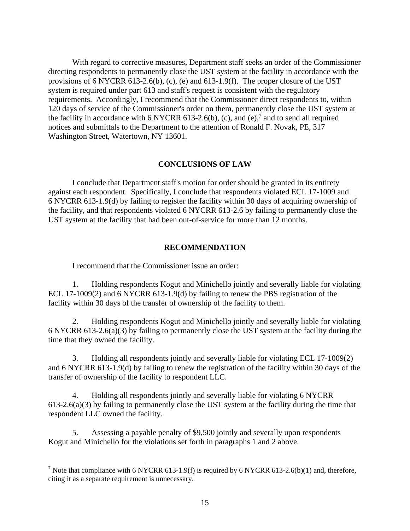With regard to corrective measures, Department staff seeks an order of the Commissioner directing respondents to permanently close the UST system at the facility in accordance with the provisions of 6 NYCRR 613-2.6(b), (c), (e) and 613-1.9(f). The proper closure of the UST system is required under part 613 and staff's request is consistent with the regulatory requirements. Accordingly, I recommend that the Commissioner direct respondents to, within 120 days of service of the Commissioner's order on them, permanently close the UST system at the facility in accordance with 6 NYCRR 613-2.6(b), (c), and (e),<sup>7</sup> and to send all required notices and submittals to the Department to the attention of Ronald F. Novak, PE, 317 Washington Street, Watertown, NY 13601.

# **CONCLUSIONS OF LAW**

I conclude that Department staff's motion for order should be granted in its entirety against each respondent. Specifically, I conclude that respondents violated ECL 17-1009 and 6 NYCRR 613-1.9(d) by failing to register the facility within 30 days of acquiring ownership of the facility, and that respondents violated 6 NYCRR 613-2.6 by failing to permanently close the UST system at the facility that had been out-of-service for more than 12 months.

## **RECOMMENDATION**

I recommend that the Commissioner issue an order:

1. Holding respondents Kogut and Minichello jointly and severally liable for violating ECL 17-1009(2) and 6 NYCRR 613-1.9(d) by failing to renew the PBS registration of the facility within 30 days of the transfer of ownership of the facility to them.

2. Holding respondents Kogut and Minichello jointly and severally liable for violating 6 NYCRR 613-2.6(a)(3) by failing to permanently close the UST system at the facility during the time that they owned the facility.

3. Holding all respondents jointly and severally liable for violating ECL 17-1009(2) and 6 NYCRR 613-1.9(d) by failing to renew the registration of the facility within 30 days of the transfer of ownership of the facility to respondent LLC.

4. Holding all respondents jointly and severally liable for violating 6 NYCRR 613-2.6(a)(3) by failing to permanently close the UST system at the facility during the time that respondent LLC owned the facility.

5. Assessing a payable penalty of \$9,500 jointly and severally upon respondents Kogut and Minichello for the violations set forth in paragraphs 1 and 2 above.

<sup>&</sup>lt;sup>7</sup> Note that compliance with 6 NYCRR 613-1.9(f) is required by 6 NYCRR 613-2.6(b)(1) and, therefore, citing it as a separate requirement is unnecessary.